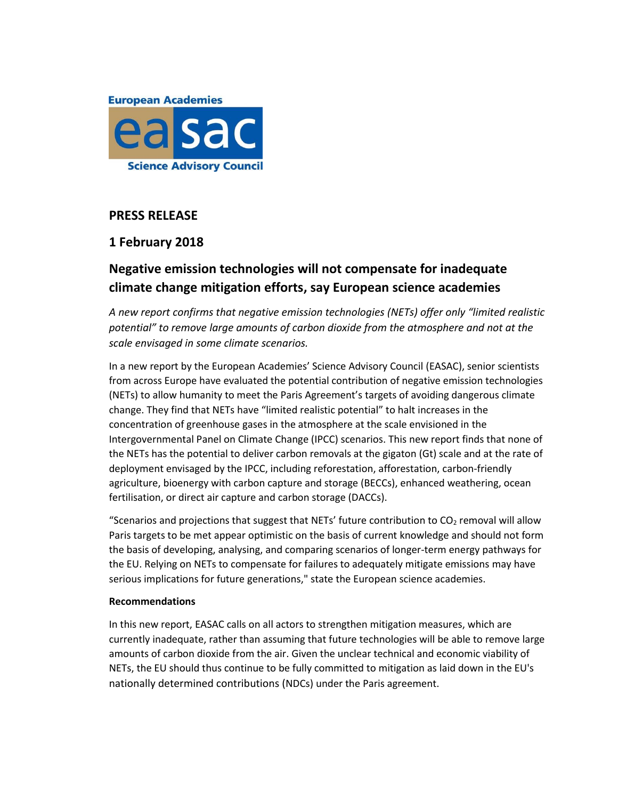

## **PRESS RELEASE**

# **1 February 2018**

# **Negative emission technologies will not compensate for inadequate climate change mitigation efforts, say European science academies**

*A new report confirms that negative emission technologies (NETs) offer only "limited realistic potential" to remove large amounts of carbon dioxide from the atmosphere and not at the scale envisaged in some climate scenarios.*

In a new report by the European Academies' Science Advisory Council (EASAC), senior scientists from across Europe have evaluated the potential contribution of negative emission technologies (NETs) to allow humanity to meet the Paris Agreement's targets of avoiding dangerous climate change. They find that NETs have "limited realistic potential" to halt increases in the concentration of greenhouse gases in the atmosphere at the scale envisioned in the Intergovernmental Panel on Climate Change (IPCC) scenarios. This new report finds that none of the NETs has the potential to deliver carbon removals at the gigaton (Gt) scale and at the rate of deployment envisaged by the IPCC, including reforestation, afforestation, carbon-friendly agriculture, bioenergy with carbon capture and storage (BECCs), enhanced weathering, ocean fertilisation, or direct air capture and carbon storage (DACCs).

"Scenarios and projections that suggest that NETs' future contribution to  $CO<sub>2</sub>$  removal will allow Paris targets to be met appear optimistic on the basis of current knowledge and should not form the basis of developing, analysing, and comparing scenarios of longer-term energy pathways for the EU. Relying on NETs to compensate for failures to adequately mitigate emissions may have serious implications for future generations," state the European science academies.

## **Recommendations**

In this new report, EASAC calls on all actors to strengthen mitigation measures, which are currently inadequate, rather than assuming that future technologies will be able to remove large amounts of carbon dioxide from the air. Given the unclear technical and economic viability of NETs, the EU should thus continue to be fully committed to mitigation as laid down in the EU's nationally determined contributions (NDCs) under the Paris agreement.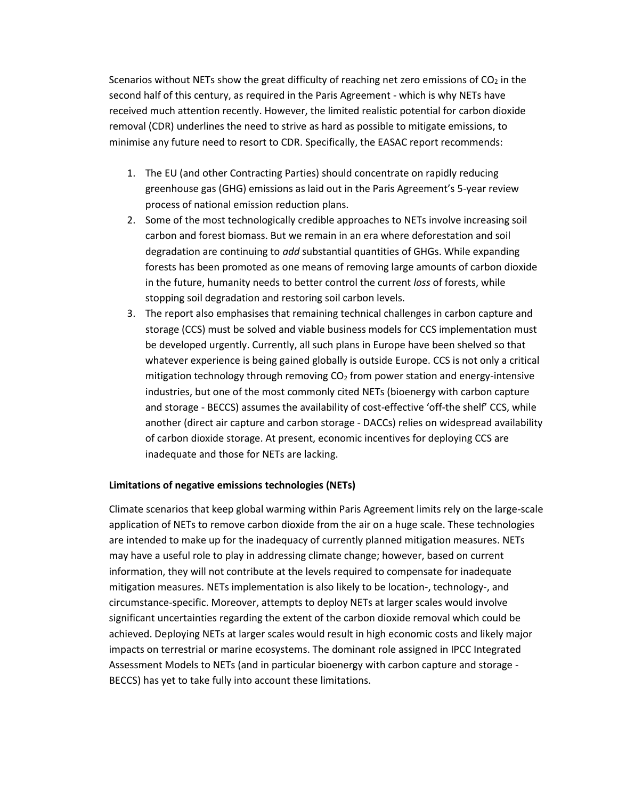Scenarios without NETs show the great difficulty of reaching net zero emissions of  $CO<sub>2</sub>$  in the second half of this century, as required in the Paris Agreement - which is why NETs have received much attention recently. However, the limited realistic potential for carbon dioxide removal (CDR) underlines the need to strive as hard as possible to mitigate emissions, to minimise any future need to resort to CDR. Specifically, the EASAC report recommends:

- 1. The EU (and other Contracting Parties) should concentrate on rapidly reducing greenhouse gas (GHG) emissions as laid out in the Paris Agreement's 5-year review process of national emission reduction plans.
- 2. Some of the most technologically credible approaches to NETs involve increasing soil carbon and forest biomass. But we remain in an era where deforestation and soil degradation are continuing to *add* substantial quantities of GHGs. While expanding forests has been promoted as one means of removing large amounts of carbon dioxide in the future, humanity needs to better control the current *loss* of forests, while stopping soil degradation and restoring soil carbon levels.
- 3. The report also emphasises that remaining technical challenges in carbon capture and storage (CCS) must be solved and viable business models for CCS implementation must be developed urgently. Currently, all such plans in Europe have been shelved so that whatever experience is being gained globally is outside Europe. CCS is not only a critical mitigation technology through removing  $CO<sub>2</sub>$  from power station and energy-intensive industries, but one of the most commonly cited NETs (bioenergy with carbon capture and storage - BECCS) assumes the availability of cost-effective 'off-the shelf' CCS, while another (direct air capture and carbon storage - DACCs) relies on widespread availability of carbon dioxide storage. At present, economic incentives for deploying CCS are inadequate and those for NETs are lacking.

## **Limitations of negative emissions technologies (NETs)**

Climate scenarios that keep global warming within Paris Agreement limits rely on the large-scale application of NETs to remove carbon dioxide from the air on a huge scale. These technologies are intended to make up for the inadequacy of currently planned mitigation measures. NETs may have a useful role to play in addressing climate change; however, based on current information, they will not contribute at the levels required to compensate for inadequate mitigation measures. NETs implementation is also likely to be location-, technology-, and circumstance-specific. Moreover, attempts to deploy NETs at larger scales would involve significant uncertainties regarding the extent of the carbon dioxide removal which could be achieved. Deploying NETs at larger scales would result in high economic costs and likely major impacts on terrestrial or marine ecosystems. The dominant role assigned in IPCC Integrated Assessment Models to NETs (and in particular bioenergy with carbon capture and storage - BECCS) has yet to take fully into account these limitations.